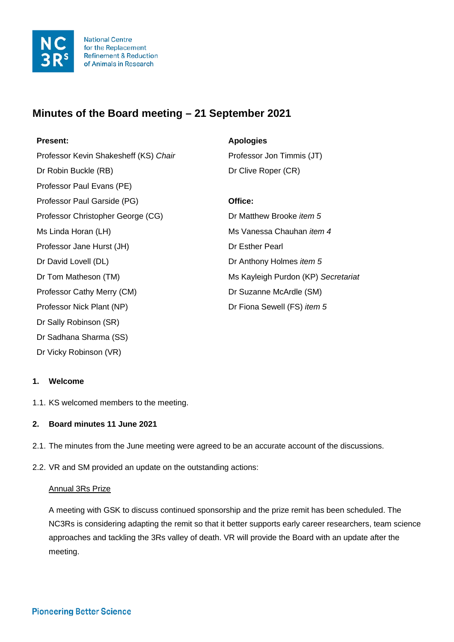

# **Minutes of the Board meeting – 21 September 2021**

# **Present: Apologies**  Professor Kevin Shakesheff (KS) *Chair* Professor Jon Timmis (JT) Dr Robin Buckle (RB) Dr Clive Roper (CR) Professor Paul Evans (PE) Professor Paul Garside (PG) **Office:** Professor Christopher George (CG) Dr Matthew Brooke *item 5*  Ms Linda Horan (LH) Ms Vanessa Chauhan *item 4* Professor Jane Hurst (JH) Dr Esther Pearl Dr David Lovell (DL) Dr Anthony Holmes *item 5* Dr Tom Matheson (TM) Ms Kayleigh Purdon (KP) *Secretariat* Professor Cathy Merry (CM) Dr Suzanne McArdle (SM) Professor Nick Plant (NP) Dr Fiona Sewell (FS) *item 5* Dr Sally Robinson (SR) Dr Sadhana Sharma (SS)

# **1. Welcome**

Dr Vicky Robinson (VR)

1.1. KS welcomed members to the meeting.

# **2. Board minutes 11 June 2021**

- 2.1. The minutes from the June meeting were agreed to be an accurate account of the discussions.
- 2.2. VR and SM provided an update on the outstanding actions:

#### Annual 3Rs Prize

A meeting with GSK to discuss continued sponsorship and the prize remit has been scheduled. The NC3Rs is considering adapting the remit so that it better supports early career researchers, team science approaches and tackling the 3Rs valley of death. VR will provide the Board with an update after the meeting.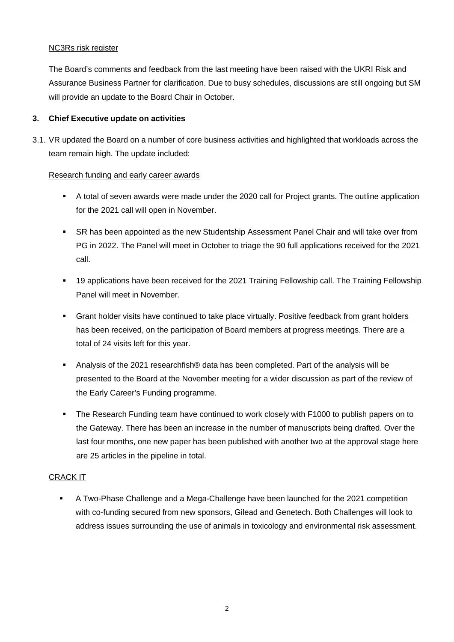#### NC3Rs risk register

The Board's comments and feedback from the last meeting have been raised with the UKRI Risk and Assurance Business Partner for clarification. Due to busy schedules, discussions are still ongoing but SM will provide an update to the Board Chair in October.

## **3. Chief Executive update on activities**

3.1. VR updated the Board on a number of core business activities and highlighted that workloads across the team remain high. The update included:

#### Research funding and early career awards

- A total of seven awards were made under the 2020 call for Project grants. The outline application for the 2021 call will open in November.
- SR has been appointed as the new Studentship Assessment Panel Chair and will take over from PG in 2022. The Panel will meet in October to triage the 90 full applications received for the 2021 call.
- 19 applications have been received for the 2021 Training Fellowship call. The Training Fellowship Panel will meet in November.
- Grant holder visits have continued to take place virtually. Positive feedback from grant holders has been received, on the participation of Board members at progress meetings. There are a total of 24 visits left for this year.
- Analysis of the 2021 researchfish® data has been completed. Part of the analysis will be presented to the Board at the November meeting for a wider discussion as part of the review of the Early Career's Funding programme.
- The Research Funding team have continued to work closely with F1000 to publish papers on to the Gateway. There has been an increase in the number of manuscripts being drafted. Over the last four months, one new paper has been published with another two at the approval stage here are 25 articles in the pipeline in total.

#### CRACK IT

 A Two-Phase Challenge and a Mega-Challenge have been launched for the 2021 competition with co-funding secured from new sponsors, Gilead and Genetech. Both Challenges will look to address issues surrounding the use of animals in toxicology and environmental risk assessment.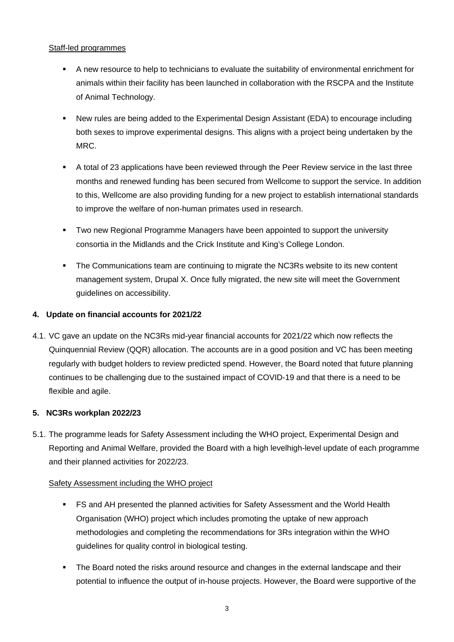## Staff-led programmes

- A new resource to help to technicians to evaluate the suitability of environmental enrichment for animals within their facility has been launched in collaboration with the RSCPA and the Institute of Animal Technology.
- New rules are being added to the Experimental Design Assistant (EDA) to encourage including both sexes to improve experimental designs. This aligns with a project being undertaken by the MRC.
- A total of 23 applications have been reviewed through the Peer Review service in the last three months and renewed funding has been secured from Wellcome to support the service. In addition to this, Wellcome are also providing funding for a new project to establish international standards to improve the welfare of non-human primates used in research.
- Two new Regional Programme Managers have been appointed to support the university consortia in the Midlands and the Crick Institute and King's College London.
- The Communications team are continuing to migrate the NC3Rs website to its new content management system, Drupal X. Once fully migrated, the new site will meet the Government guidelines on accessibility.

# **4. Update on financial accounts for 2021/22**

4.1. VC gave an update on the NC3Rs mid-year financial accounts for 2021/22 which now reflects the Quinquennial Review (QQR) allocation. The accounts are in a good position and VC has been meeting regularly with budget holders to review predicted spend. However, the Board noted that future planning continues to be challenging due to the sustained impact of COVID-19 and that there is a need to be flexible and agile.

#### **5. NC3Rs workplan 2022/23**

5.1. The programme leads for Safety Assessment including the WHO project, Experimental Design and Reporting and Animal Welfare, provided the Board with a high levelhigh-level update of each programme and their planned activities for 2022/23.

#### Safety Assessment including the WHO project

- FS and AH presented the planned activities for Safety Assessment and the World Health Organisation (WHO) project which includes promoting the uptake of new approach methodologies and completing the recommendations for 3Rs integration within the WHO guidelines for quality control in biological testing.
- **The Board noted the risks around resource and changes in the external landscape and their** potential to influence the output of in-house projects. However, the Board were supportive of the